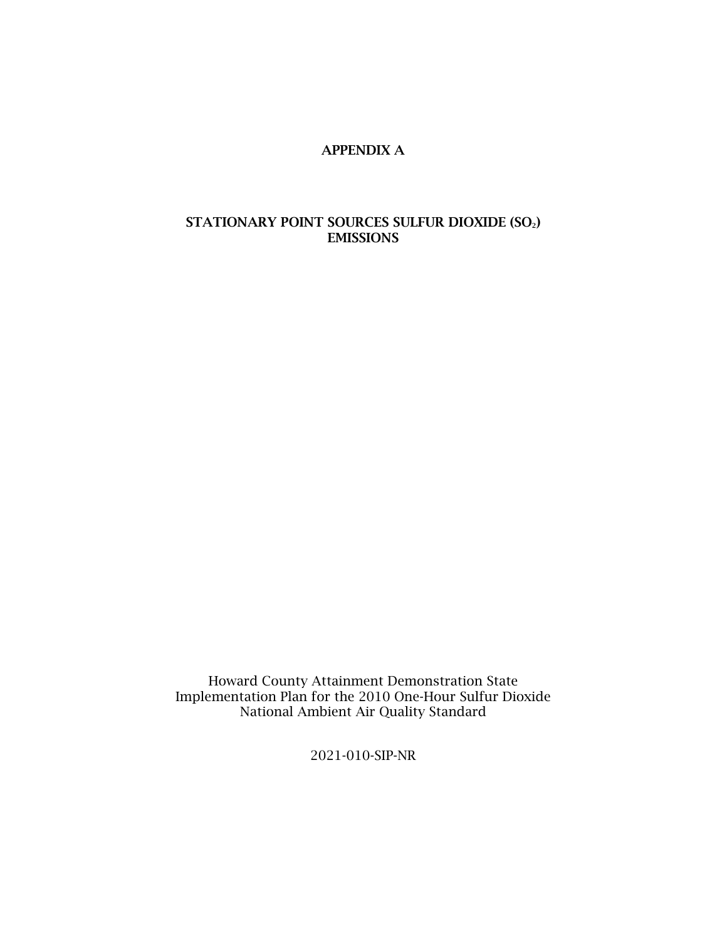## APPENDIX A

## STATIONARY POINT SOURCES SULFUR DIOXIDE (SO2) EMISSIONS

Howard County Attainment Demonstration State Implementation Plan for the 2010 One-Hour Sulfur Dioxide National Ambient Air Quality Standard

2021-010-SIP-NR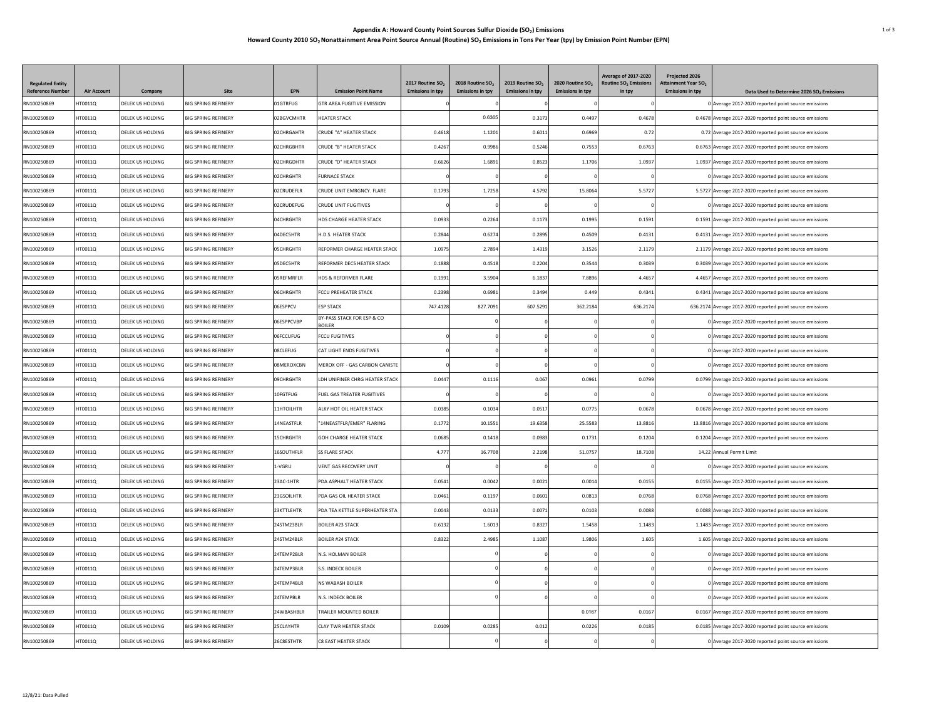## **Appendix A: Howard County Point Sources Sulfur Dioxide (SO2) Emissions** 1 of 3 **Howard County 2010 SO2 Nonattainment Area Point Source Annual (Routine) SO2 Emissions in Tons Per Year (tpy) by Emission Point Number (EPN)**

| <b>Regulated Entity</b><br><b>Reference Number</b> | <b>Air Account</b> | Company                 | Site                       | <b>EPN</b>        | <b>Emission Point Name</b>                  | 2017 Routine SO.        | 2018 Routine SO <sub>2</sub><br><b>Emissions in tpy</b> | 2019 Routine SO <sub>2</sub><br><b>Emissions in tpy</b> | 2020 Routine SO <sub>2</sub><br><b>Emissions in tpy</b> | Average of 2017-2020<br><b>Routine SO<sub>2</sub></b> Emissions | Projected 2026<br><b>Attainment Year SO<sub>2</sub></b><br><b>Emissions in toy</b> |                                                                                                                 |
|----------------------------------------------------|--------------------|-------------------------|----------------------------|-------------------|---------------------------------------------|-------------------------|---------------------------------------------------------|---------------------------------------------------------|---------------------------------------------------------|-----------------------------------------------------------------|------------------------------------------------------------------------------------|-----------------------------------------------------------------------------------------------------------------|
| RN100250869                                        | HT0011Q            | DELEK US HOLDING        | <b>BIG SPRING REFINERY</b> | 01GTRFUG          | <b>GTR AREA FUGITIVE EMISSION</b>           | <b>Emissions in tpy</b> |                                                         |                                                         |                                                         | in tpy                                                          |                                                                                    | Data Used to Determine 2026 SO <sub>2</sub> Emissions<br>0 Average 2017-2020 reported point source emissions    |
| RN100250869                                        | HT0011Q            | DELEK US HOLDING        | <b>BIG SPRING REFINERY</b> | 02BGVCMHTR        | <b>HEATER STACK</b>                         |                         | 0.6365                                                  | 0.3173                                                  | 0.4497                                                  | 0.4678                                                          |                                                                                    | 0.4678 Average 2017-2020 reported point source emissions                                                        |
| RN100250869                                        | HT0011Q            | DELEK US HOLDING        | <b>BIG SPRING REFINERY</b> | 02CHRGAHTR        | <b>CRUDE "A" HEATER STACK</b>               | 0.4618                  | 1.1201                                                  | 0.6011                                                  | 0.6969                                                  | 0.72                                                            |                                                                                    | 0.72 Average 2017-2020 reported point source emissions                                                          |
| RN100250869                                        | HT0011Q            | DELEK US HOLDING        | <b>BIG SPRING REFINERY</b> | 02CHRGBHTR        | CRUDE "B" HEATER STACK                      | 0.4267                  | 0.9986                                                  | 0.5246                                                  | 0.7553                                                  | 0.6763                                                          |                                                                                    | 0.6763 Average 2017-2020 reported point source emissions                                                        |
| RN100250869                                        | HT0011O            | DELEK US HOLDING        | <b>BIG SPRING REFINERY</b> | 02CHRGDHTR        | CRUDE "D" HEATER STACK                      | 0.6626                  | 1.6891                                                  | 0.8523                                                  | 1.1706                                                  | 1.0937                                                          |                                                                                    |                                                                                                                 |
| RN100250869                                        | HT0011Q            | DELEK US HOLDING        | <b>BIG SPRING REFINERY</b> | 02CHRGHTR         | <b>FURNACE STACK</b>                        |                         |                                                         |                                                         |                                                         |                                                                 |                                                                                    | 1.0937 Average 2017-2020 reported point source emissions<br>0 Average 2017-2020 reported point source emissions |
| RN100250869                                        | HT0011Q            | DELEK US HOLDING        | <b>BIG SPRING REFINERY</b> | 02CRUDEFLR        | CRUDE UNIT EMRGNCY. FLARE                   | 0.1793                  | 1.7258                                                  | 4.5792                                                  | 15.806                                                  | 5.572                                                           |                                                                                    | 5.5727 Average 2017-2020 reported point source emissions                                                        |
|                                                    |                    |                         |                            |                   |                                             |                         |                                                         |                                                         |                                                         |                                                                 |                                                                                    |                                                                                                                 |
| RN100250869                                        | HT0011Q            | DELEK US HOLDING        | <b>BIG SPRING REFINERY</b> | 02CRUDEFUG        | <b>CRUDE UNIT FUGITIVES</b>                 |                         |                                                         |                                                         |                                                         |                                                                 |                                                                                    | 0 Average 2017-2020 reported point source emissions                                                             |
| RN100250869                                        | HT0011Q            | DELEK US HOLDING        | <b>BIG SPRING REFINERY</b> | 04CHRGHTR         | HDS CHARGE HEATER STACK                     | 0.0933                  | 0.2264                                                  | 0.1173                                                  | 0.1995                                                  | 0.1591                                                          |                                                                                    | 0.1591 Average 2017-2020 reported point source emissions                                                        |
| RN100250869                                        | HT0011Q            | DELEK US HOLDING        | <b>BIG SPRING REFINERY</b> | 04DFC5HTR         | <b>H.D.S. HEATER STACK</b>                  | 0.2844                  | 0.6274                                                  | 0.2895                                                  | 0.4509                                                  | 0.4131                                                          |                                                                                    | 0.4131 Average 2017-2020 reported point source emissions                                                        |
| RN100250869                                        | HT0011Q            | DELEK US HOLDING        | <b>BIG SPRING REFINERY</b> | <b>DSCHRGHTR</b>  | REFORMER CHARGE HEATER STACK                | 1.0975                  | 2.7894                                                  | 1.4319                                                  | 3.1526                                                  | 2.1179                                                          |                                                                                    | 2.1179 Average 2017-2020 reported point source emissions                                                        |
| RN100250869                                        | HT0011Q            | DELEK US HOLDING        | <b>BIG SPRING REFINERY</b> | 05DEC5HTR         | REFORMER DEC5 HEATER STACK                  | 0.1888                  | 0.4518                                                  | 0.2204                                                  | 0.3544                                                  | 0.3039                                                          |                                                                                    | 0.3039 Average 2017-2020 reported point source emissions                                                        |
| RN100250869                                        | HT0011Q            | DELEK US HOLDING        | <b>BIG SPRING REFINERY</b> | <b>OSREFMRFLR</b> | HDS & REFORMER FLARE                        | 0.1991                  | 3.5904                                                  | 6.1837                                                  | 7,8896                                                  | 4.4657                                                          |                                                                                    | 4.4657 Average 2017-2020 reported point source emissions                                                        |
| RN100250869                                        | HT0011Q            | DELEK US HOLDING        | <b>BIG SPRING REFINERY</b> | 06CHRGHTR         | FCCU PREHEATER STACK                        | 0.2398                  | 0.6981                                                  | 0.3494                                                  | 0.449                                                   | 0.4341                                                          |                                                                                    | 0.4341 Average 2017-2020 reported point source emissions                                                        |
| RN100250869                                        | HT0011Q            | DELEK US HOLDING        | <b>BIG SPRING REFINERY</b> | <b>O6ESPPCV</b>   | <b>FSP STACK</b>                            | 747.4128                | 827.7091                                                | 607.5291                                                | 362.2184                                                | 636.2174                                                        |                                                                                    | 636.2174 Average 2017-2020 reported point source emissions                                                      |
| RN100250869                                        | HT0011Q            | DELEK US HOLDING        | <b>BIG SPRING REFINERY</b> | 06ESPPCVBP        | BY-PASS STACK FOR ESP & CO<br><b>BOILER</b> |                         |                                                         |                                                         |                                                         |                                                                 |                                                                                    | 0 Average 2017-2020 reported point source emissions                                                             |
| RN100250869                                        | HT0011Q            | DELEK US HOLDING        | <b>BIG SPRING REFINERY</b> | 06FCCUFUG         | FCCU FUGITIVES                              |                         |                                                         |                                                         |                                                         |                                                                 |                                                                                    | 0 Average 2017-2020 reported point source emissions                                                             |
| RN100250869                                        | HT0011Q            | <b>DELEK US HOLDING</b> | <b>BIG SPRING REFINERY</b> | 08CLEFUG          | <b>CAT LIGHT ENDS FUGITIVES</b>             |                         |                                                         |                                                         |                                                         |                                                                 |                                                                                    | 0 Average 2017-2020 reported point source emissions                                                             |
| RN100250869                                        | HT0011Q            | DELEK US HOLDING        | <b>BIG SPRING REFINERY</b> | 08MEROXCBN        | MEROX OFF - GAS CARBON CANISTE              |                         |                                                         |                                                         |                                                         |                                                                 |                                                                                    | 0 Average 2017-2020 reported point source emissions                                                             |
| RN100250869                                        | HT00110            | DELEK US HOLDING        | <b>BIG SPRING REFINERY</b> | 09CHRGHTR         | <b>I DH UNIFINER CHRG HEATER STACK</b>      | 0.0447                  | 0.1116                                                  | 0.067                                                   | 0.096                                                   | 0.0799                                                          |                                                                                    | 0.0799 Average 2017-2020 reported point source emissions                                                        |
| RN100250869                                        | HT0011Q            | DELEK US HOLDING        | <b>BIG SPRING REFINERY</b> | 10FGTFUG          | FUEL GAS TREATER FUGITIVES                  |                         |                                                         |                                                         |                                                         |                                                                 |                                                                                    | 0 Average 2017-2020 reported point source emissions                                                             |
| RN100250869                                        | HT0011Q            | DELEK US HOLDING        | <b>BIG SPRING REFINERY</b> | 11HTOILHTR        | ALKY HOT OIL HEATER STACK                   | 0.0385                  | 0.1034                                                  | 0.0517                                                  | 0.0775                                                  | 0.0678                                                          |                                                                                    | 0.0678 Average 2017-2020 reported point source emissions                                                        |
| RN100250869                                        | HT0011Q            | DELEK US HOLDING        | <b>BIG SPRING REFINERY</b> | <b>4NEASTFLR</b>  | "14NEASTFLR/EMER" FLARING                   | 0.1772                  | 10.1551                                                 | 19,6358                                                 | 25.558                                                  | 13,8816                                                         |                                                                                    | 13.8816 Average 2017-2020 reported point source emissions                                                       |
| RN100250869                                        | HT0011Q            | DELEK US HOLDING        | <b>BIG SPRING REFINERY</b> | <b>ISCHRGHTR</b>  | GOH CHARGE HEATER STACK                     | 0.0685                  | 0.1418                                                  | 0.0983                                                  | 0.1731                                                  | 0.1204                                                          |                                                                                    | 0.1204 Average 2017-2020 reported point source emissions                                                        |
| RN100250869                                        | HT0011Q            | DELEK US HOLDING        | <b>BIG SPRING REFINERY</b> | 16SOUTHFLR        | <b>SS FLARE STACK</b>                       | 4.777                   | 16,7708                                                 | 2.2198                                                  | 51.0757                                                 | 18.7108                                                         |                                                                                    | 14.22 Annual Permit Limit                                                                                       |
| RN100250869                                        | HT0011Q            | DELEK US HOLDING        | <b>BIG SPRING REFINERY</b> | l-VGRU            | VENT GAS RECOVERY UNIT                      |                         |                                                         |                                                         |                                                         |                                                                 |                                                                                    | 0 Average 2017-2020 reported point source emissions                                                             |
| RN100250869                                        | HT0011Q            | DELEK US HOLDING        | <b>BIG SPRING REFINERY</b> | 23AC-1HTR         | PDA ASPHALT HEATER STACK                    | 0.0541                  | 0.0042                                                  | 0.0021                                                  | 0.001                                                   | 0.0155                                                          |                                                                                    | 0.0155 Average 2017-2020 reported point source emissions                                                        |
| RN100250869                                        | HT0011Q            | DELEK US HOLDING        | <b>BIG SPRING REFINERY</b> | 23GSOILHTR        | PDA GAS OIL HEATER STACK                    | 0.0461                  | 0.1197                                                  | 0.0601                                                  | 0.081                                                   | 0.0768                                                          |                                                                                    | 0.0768 Average 2017-2020 reported point source emissions                                                        |
| RN100250869                                        | HT0011Q            | DELEK US HOLDING        | <b>BIG SPRING REFINERY</b> | 23KTTLEHTR        | PDA TEA KETTLE SUPERHEATER STA              | 0.0043                  | 0.0133                                                  | 0.0071                                                  | 0.010                                                   | 0.0088                                                          |                                                                                    | 0.0088 Average 2017-2020 reported point source emissions                                                        |
| RN100250869                                        | HT0011Q            | DELEK US HOLDING        | <b>BIG SPRING REFINERY</b> | 24STM23BLR        | <b>BOILER #23 STACK</b>                     | 0.6132                  | 1.6013                                                  | 0.8327                                                  | 1.545                                                   | 1.1483                                                          |                                                                                    | 1.1483 Average 2017-2020 reported point source emissions                                                        |
| RN100250869                                        | HT0011Q            | DELEK US HOLDING        | <b>BIG SPRING REFINERY</b> | 24STM24BLR        | <b>BOILER #24 STACK</b>                     | 0.832                   | 2.4985                                                  | 1.1087                                                  | 1.9806                                                  | 1.605                                                           |                                                                                    | 1.605 Average 2017-2020 reported point source emissions                                                         |
| RN100250869                                        | HT0011Q            | DELEK US HOLDING        | <b>BIG SPRING REFINERY</b> | 24TEMP2BLR        | N.S. HOLMAN BOILER                          |                         |                                                         |                                                         |                                                         |                                                                 |                                                                                    | 0 Average 2017-2020 reported point source emissions                                                             |
| RN100250869                                        | HT0011Q            | DELEK US HOLDING        | <b>BIG SPRING REFINERY</b> | 24TEMP3BLR        | S.S. INDECK BOILER                          |                         |                                                         |                                                         |                                                         |                                                                 |                                                                                    | 0 Average 2017-2020 reported point source emissions                                                             |
| RN100250869                                        | HT0011Q            | DELEK US HOLDING        | <b>BIG SPRING REFINERY</b> | 24TEMP4BLR        | <b>NS WABASH BOILER</b>                     |                         |                                                         |                                                         |                                                         |                                                                 |                                                                                    | 0 Average 2017-2020 reported point source emissions                                                             |
| RN100250869                                        | HT0011Q            | DELEK US HOLDING        | <b>BIG SPRING REFINERY</b> | 24TFMPBIR         | N.S. INDECK BOILER                          |                         |                                                         |                                                         |                                                         |                                                                 |                                                                                    | 0 Average 2017-2020 reported point source emissions                                                             |
| RN100250869                                        | HT0011Q            | DELEK US HOLDING        | <b>BIG SPRING REFINERY</b> | 24WBASHBLR        | TRAILER MOUNTED BOILER                      |                         |                                                         |                                                         | 0.0167                                                  | 0.0167                                                          |                                                                                    | 0.0167 Average 2017-2020 reported point source emissions                                                        |
| RN100250869                                        | HT0011Q            | DELEK US HOLDING        | <b>BIG SPRING REFINERY</b> | 25CLAYHTR         | <b>CLAY TWR HEATER STACK</b>                | 0.0105                  | 0.0285                                                  | 0.012                                                   | 0.0226                                                  | 0.0185                                                          |                                                                                    | 0.0185 Average 2017-2020 reported point source emissions                                                        |
|                                                    |                    |                         |                            |                   |                                             |                         |                                                         |                                                         |                                                         |                                                                 |                                                                                    |                                                                                                                 |
| RN100250869                                        | HT0011Q            | DELEK US HOLDING        | <b>BIG SPRING REFINERY</b> | 26C8ESTHTR        | <b>C8 EAST HEATER STACK</b>                 |                         |                                                         |                                                         |                                                         |                                                                 |                                                                                    | 0 Average 2017-2020 reported point source emissions                                                             |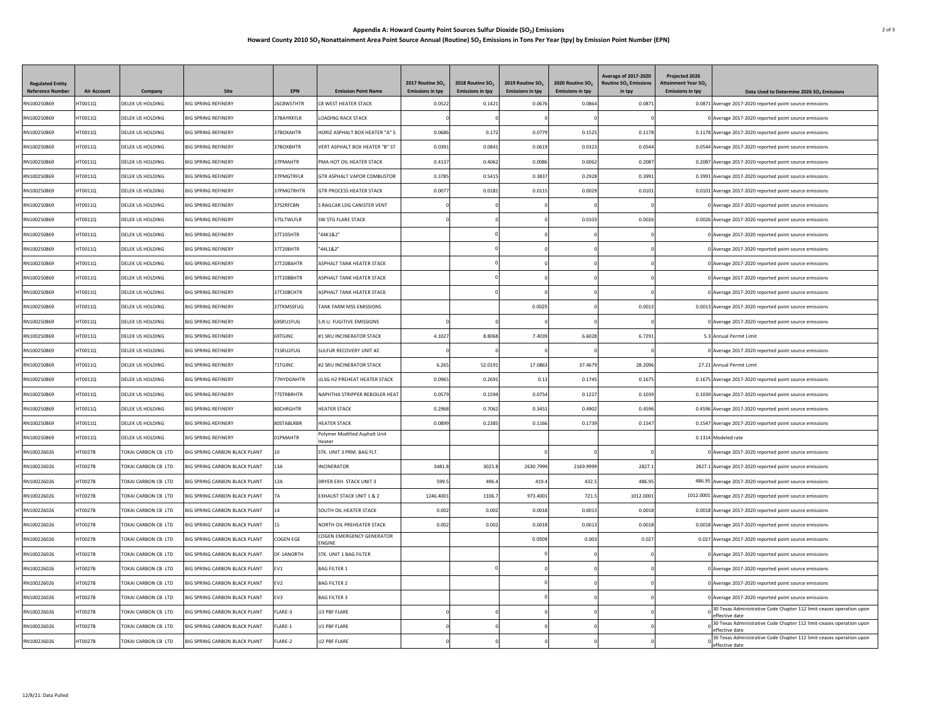## **Appendix A: Howard County Point Sources Sulfur Dioxide (SO2) Emissions** 2 of 3 **Howard County 2010 SO2 Nonattainment Area Point Source Annual (Routine) SO2 Emissions in Tons Per Year (tpy) by Emission Point Number (EPN)**

| RN100250869<br>DELEK US HOLDING<br><b>BIG SPRING REFINERY</b><br>26C8WSTHTR<br>C8 WEST HEATER STACK<br>0.0871<br>0.0871 Average 2017-2020 reported point source emissions<br>HT0011Q<br>0.0522<br>0.142<br>0.0676<br>0.0864<br>RN100250869<br>HT0011Q<br>DELEK US HOLDING<br><b>BIG SPRING REFINERY</b><br>37BAYRKFLR<br><b>LOADING RACK STACK</b><br>0 Average 2017-2020 reported point source emissions<br>DELEK US HOLDING<br><b>BIG SPRING REFINERY</b><br>37BOXAHTR<br>HORIZ ASPHALT BOX HEATER "A" S<br>0.0686<br>0.0779<br>0.1525<br>0.1178<br>RN100250869<br>HT0011Q<br>0.172<br>0.1178 Average 2017-2020 reported point source emissions<br>DELEK US HOLDING<br>37BOXBHTR<br>0.0619<br>0.0323<br>0.0544<br>RN100250869<br>HT0011Q<br><b>BIG SPRING REFINERY</b><br>VERT ASPHALT BOX HEATER "B" ST<br>0.0391<br>0.0841<br>0.0544 Average 2017-2020 reported point source emissions<br>RN100250869<br>HT0011Q<br>DELEK US HOLDING<br><b>BIG SPRING REFINERY</b><br>37PMAHTR<br>PMA HOT OIL HEATER STACK<br>0.4137<br>0.4062<br>0.0086<br>0.0062<br>0.2087<br>0.2087 Average 2017-2020 reported point source emissions<br>RN100250869<br>HT0011Q<br>DELEK US HOLDING<br><b>BIG SPRING REFINERY</b><br>37PMGTRFLR<br>GTR ASPHALT VAPOR COMBUSTOR<br>0.3785<br>0.5415<br>0.3837<br>0.2928<br>0.3991<br>0.3991 Average 2017-2020 reported point source emissions<br>37PMGTRHTR<br>0.0029<br>RN100250869<br>HT0011Q<br>DELEK US HOLDING<br><b>BIG SPRING REFINERY</b><br><b>GTR PROCESS HEATER STACK</b><br>0.0077<br>0.0181<br>0.0115<br>0.0101<br>0.0101 Average 2017-2020 reported point source emissions<br>RN100250869<br>HT0011Q<br>DELEK US HOLDING<br><b>BIG SPRING REFINERY</b><br>37S2RFCBN<br>S RAILCAR LDG CANISTER VENT<br>0 Average 2017-2020 reported point source emissions<br>0.0103<br>0.0026<br>RN100250869<br>HT0011O<br>DELEK US HOLDING<br><b>BIG SPRING REFINERY</b><br>37SI TWI FI R<br>SW STG FLARE STACK<br>0.0026 Average 2017-2020 reported point source emissions<br>RN100250869<br>HT0011Q<br>DELEK US HOLDING<br><b>BIG SPRING REFINERY</b><br>37T205HTR<br>"44K1&2"<br>0 Average 2017-2020 reported point source emissions<br>'44L1&2"<br>RN100250869<br>HT0011Q<br>DELEK US HOLDING<br><b>BIG SPRING REFINERY</b><br>37T206HTR<br>0 Average 2017-2020 reported point source emissions<br>37T208AHTR<br>ASPHALT TANK HEATER STACK<br>RN100250869<br>HT0011Q<br>DELEK US HOLDING<br><b>BIG SPRING REFINERY</b><br>0 Average 2017-2020 reported point source emissions<br>RN100250869<br>HT0011Q<br>DELEK US HOLDING<br><b>BIG SPRING REFINERY</b><br>37T208BHTR<br>ASPHALT TANK HEATER STACK<br>0 Average 2017-2020 reported point source emissions<br>37T208CHTR<br>ASPHALT TANK HEATER STACK<br>RN100250869<br>HT0011Q<br>DELEK US HOLDING<br><b>BIG SPRING REFINERY</b><br>0 Average 2017-2020 reported point source emissions<br>0.0025<br>RN100250869<br>HT0011Q<br>DELEK US HOLDING<br><b>BIG SPRING REFINERY</b><br>37TKMSSFUG<br>TANK FARM MSS EMISSIONS<br>0.0013<br>0.0013 Average 2017-2020 reported point source emissions<br>DELEK US HOLDING<br><b>BIG SPRING REFINERY</b><br>S.R.U. FUGITIVE EMISSIONS<br>RN100250869<br>HT0011Q<br>69SRU1FUG<br>O Average 2017-2020 reported point source emissions<br>6.6028<br>6.7291<br>RN100250869<br>HT0011Q<br>DELEK US HOLDING<br>69TGINC<br>#1 SRU INCINERATOR STACK<br>4.1027<br>8.8068<br>7,4039<br><b>BIG SPRING REFINERY</b><br>5.3 Annual Permit Limit<br>SULFUR RECOVERY UNIT #2<br>RN100250869<br>HT0011Q<br>DELEK US HOLDING<br><b>BIG SPRING REFINERY</b><br>1SRU2FUG<br>0 Average 2017-2020 reported point source emissions<br>HT0011O<br>71TGINC<br>6.265<br>52.019<br>37.4679<br>28.2096<br>RN100250869<br>DELEK US HOLDING<br><b>BIG SPRING REFINERY</b><br>#2 SRU INCINERATOR STACK<br>17.0863<br>27.21 Annual Permit Limit<br>RN100250869<br>HT0011Q<br>DELEK US HOLDING<br><b>BIG SPRING REFINERY</b><br>7HYDGNHTR<br>ULSG H2 PREHEAT HEATER STACK<br>0.0965<br>0.2691<br>0.13<br>0.1745<br>0.1675<br>0.1675 Average 2017-2020 reported point source emissions<br>RN100250869<br>HT0011Q<br>DELEK US HOLDING<br><b>BIG SPRING REFINERY</b><br>7STRBRHTR<br>NAPHTHA STRIPPER REBOILER HEAT<br>0.0579<br>0.1594<br>0.0754<br>0.1227<br>0.1039<br>0.1039 Average 2017-2020 reported point source emissions<br>RN100250869<br>HT0011Q<br>DELEK US HOLDING<br><b>BIG SPRING REFINERY</b><br>80CHRGHTR<br><b>HEATER STACK</b><br>0.2968<br>0.7062<br>0.3451<br>0.4902<br>0.4596<br>0.4596 Average 2017-2020 reported point source emissions<br>RN100250869<br>HT0011Q<br>DELEK US HOLDING<br><b>BIG SPRING REFINERY</b><br>80STABLRBR<br><b>HEATER STACK</b><br>0.0899<br>0.2385<br>0.1166<br>0.1739<br>0.1547<br>0.1547 Average 2017-2020 reported point source emissions<br>Polymer Modified Asphalt Unit<br>0.1314 Modeled rate | <b>Regulated Entity</b><br><b>Reference Number</b> | <b>Air Account</b> |                  | Site                       | <b>EPN</b> | <b>Emission Point Name</b> | 2017 Routine SO <sub>2</sub> | 2018 Routine SO <sub>2</sub><br><b>Emissions in tpy</b> | 2019 Routine SO <sub>2</sub> | 2020 Routine SO <sub>2</sub><br><b>Emissions in tpy</b> | <b>Average of 2017-2020</b><br>Routine SO <sub>2</sub> Emissions | Projected 2026<br><b>Attainment Year SO,</b><br><b>Emissions in tpy</b> |                                                       |
|---------------------------------------------------------------------------------------------------------------------------------------------------------------------------------------------------------------------------------------------------------------------------------------------------------------------------------------------------------------------------------------------------------------------------------------------------------------------------------------------------------------------------------------------------------------------------------------------------------------------------------------------------------------------------------------------------------------------------------------------------------------------------------------------------------------------------------------------------------------------------------------------------------------------------------------------------------------------------------------------------------------------------------------------------------------------------------------------------------------------------------------------------------------------------------------------------------------------------------------------------------------------------------------------------------------------------------------------------------------------------------------------------------------------------------------------------------------------------------------------------------------------------------------------------------------------------------------------------------------------------------------------------------------------------------------------------------------------------------------------------------------------------------------------------------------------------------------------------------------------------------------------------------------------------------------------------------------------------------------------------------------------------------------------------------------------------------------------------------------------------------------------------------------------------------------------------------------------------------------------------------------------------------------------------------------------------------------------------------------------------------------------------------------------------------------------------------------------------------------------------------------------------------------------------------------------------------------------------------------------------------------------------------------------------------------------------------------------------------------------------------------------------------------------------------------------------------------------------------------------------------------------------------------------------------------------------------------------------------------------------------------------------------------------------------------------------------------------------------------------------------------------------------------------------------------------------------------------------------------------------------------------------------------------------------------------------------------------------------------------------------------------------------------------------------------------------------------------------------------------------------------------------------------------------------------------------------------------------------------------------------------------------------------------------------------------------------------------------------------------------------------------------------------------------------------------------------------------------------------------------------------------------------------------------------------------------------------------------------------------------------------------------------------------------------------------------------------------------------------------------------------------------------------------------------------------------------------------------------------------------------------------------------------------------------------------------------------------------------------------------------------------------------------------------------------------------------------------------------------------------------------------------------------------------------------------------------------------------------------------------------------------------------------------------------------------------------------------------------------------------------------------------------------------------------------------------------------|----------------------------------------------------|--------------------|------------------|----------------------------|------------|----------------------------|------------------------------|---------------------------------------------------------|------------------------------|---------------------------------------------------------|------------------------------------------------------------------|-------------------------------------------------------------------------|-------------------------------------------------------|
|                                                                                                                                                                                                                                                                                                                                                                                                                                                                                                                                                                                                                                                                                                                                                                                                                                                                                                                                                                                                                                                                                                                                                                                                                                                                                                                                                                                                                                                                                                                                                                                                                                                                                                                                                                                                                                                                                                                                                                                                                                                                                                                                                                                                                                                                                                                                                                                                                                                                                                                                                                                                                                                                                                                                                                                                                                                                                                                                                                                                                                                                                                                                                                                                                                                                                                                                                                                                                                                                                                                                                                                                                                                                                                                                                                                                                                                                                                                                                                                                                                                                                                                                                                                                                                                                                                                                                                                                                                                                                                                                                                                                                                                                                                                                                                                                                                       |                                                    |                    | Company          |                            |            |                            | <b>Emissions in tpy</b>      |                                                         | <b>Emissions in tpy</b>      |                                                         | in tpy                                                           |                                                                         | Data Used to Determine 2026 SO <sub>2</sub> Emissions |
|                                                                                                                                                                                                                                                                                                                                                                                                                                                                                                                                                                                                                                                                                                                                                                                                                                                                                                                                                                                                                                                                                                                                                                                                                                                                                                                                                                                                                                                                                                                                                                                                                                                                                                                                                                                                                                                                                                                                                                                                                                                                                                                                                                                                                                                                                                                                                                                                                                                                                                                                                                                                                                                                                                                                                                                                                                                                                                                                                                                                                                                                                                                                                                                                                                                                                                                                                                                                                                                                                                                                                                                                                                                                                                                                                                                                                                                                                                                                                                                                                                                                                                                                                                                                                                                                                                                                                                                                                                                                                                                                                                                                                                                                                                                                                                                                                                       |                                                    |                    |                  |                            |            |                            |                              |                                                         |                              |                                                         |                                                                  |                                                                         |                                                       |
|                                                                                                                                                                                                                                                                                                                                                                                                                                                                                                                                                                                                                                                                                                                                                                                                                                                                                                                                                                                                                                                                                                                                                                                                                                                                                                                                                                                                                                                                                                                                                                                                                                                                                                                                                                                                                                                                                                                                                                                                                                                                                                                                                                                                                                                                                                                                                                                                                                                                                                                                                                                                                                                                                                                                                                                                                                                                                                                                                                                                                                                                                                                                                                                                                                                                                                                                                                                                                                                                                                                                                                                                                                                                                                                                                                                                                                                                                                                                                                                                                                                                                                                                                                                                                                                                                                                                                                                                                                                                                                                                                                                                                                                                                                                                                                                                                                       |                                                    |                    |                  |                            |            |                            |                              |                                                         |                              |                                                         |                                                                  |                                                                         |                                                       |
|                                                                                                                                                                                                                                                                                                                                                                                                                                                                                                                                                                                                                                                                                                                                                                                                                                                                                                                                                                                                                                                                                                                                                                                                                                                                                                                                                                                                                                                                                                                                                                                                                                                                                                                                                                                                                                                                                                                                                                                                                                                                                                                                                                                                                                                                                                                                                                                                                                                                                                                                                                                                                                                                                                                                                                                                                                                                                                                                                                                                                                                                                                                                                                                                                                                                                                                                                                                                                                                                                                                                                                                                                                                                                                                                                                                                                                                                                                                                                                                                                                                                                                                                                                                                                                                                                                                                                                                                                                                                                                                                                                                                                                                                                                                                                                                                                                       |                                                    |                    |                  |                            |            |                            |                              |                                                         |                              |                                                         |                                                                  |                                                                         |                                                       |
|                                                                                                                                                                                                                                                                                                                                                                                                                                                                                                                                                                                                                                                                                                                                                                                                                                                                                                                                                                                                                                                                                                                                                                                                                                                                                                                                                                                                                                                                                                                                                                                                                                                                                                                                                                                                                                                                                                                                                                                                                                                                                                                                                                                                                                                                                                                                                                                                                                                                                                                                                                                                                                                                                                                                                                                                                                                                                                                                                                                                                                                                                                                                                                                                                                                                                                                                                                                                                                                                                                                                                                                                                                                                                                                                                                                                                                                                                                                                                                                                                                                                                                                                                                                                                                                                                                                                                                                                                                                                                                                                                                                                                                                                                                                                                                                                                                       |                                                    |                    |                  |                            |            |                            |                              |                                                         |                              |                                                         |                                                                  |                                                                         |                                                       |
|                                                                                                                                                                                                                                                                                                                                                                                                                                                                                                                                                                                                                                                                                                                                                                                                                                                                                                                                                                                                                                                                                                                                                                                                                                                                                                                                                                                                                                                                                                                                                                                                                                                                                                                                                                                                                                                                                                                                                                                                                                                                                                                                                                                                                                                                                                                                                                                                                                                                                                                                                                                                                                                                                                                                                                                                                                                                                                                                                                                                                                                                                                                                                                                                                                                                                                                                                                                                                                                                                                                                                                                                                                                                                                                                                                                                                                                                                                                                                                                                                                                                                                                                                                                                                                                                                                                                                                                                                                                                                                                                                                                                                                                                                                                                                                                                                                       |                                                    |                    |                  |                            |            |                            |                              |                                                         |                              |                                                         |                                                                  |                                                                         |                                                       |
|                                                                                                                                                                                                                                                                                                                                                                                                                                                                                                                                                                                                                                                                                                                                                                                                                                                                                                                                                                                                                                                                                                                                                                                                                                                                                                                                                                                                                                                                                                                                                                                                                                                                                                                                                                                                                                                                                                                                                                                                                                                                                                                                                                                                                                                                                                                                                                                                                                                                                                                                                                                                                                                                                                                                                                                                                                                                                                                                                                                                                                                                                                                                                                                                                                                                                                                                                                                                                                                                                                                                                                                                                                                                                                                                                                                                                                                                                                                                                                                                                                                                                                                                                                                                                                                                                                                                                                                                                                                                                                                                                                                                                                                                                                                                                                                                                                       |                                                    |                    |                  |                            |            |                            |                              |                                                         |                              |                                                         |                                                                  |                                                                         |                                                       |
|                                                                                                                                                                                                                                                                                                                                                                                                                                                                                                                                                                                                                                                                                                                                                                                                                                                                                                                                                                                                                                                                                                                                                                                                                                                                                                                                                                                                                                                                                                                                                                                                                                                                                                                                                                                                                                                                                                                                                                                                                                                                                                                                                                                                                                                                                                                                                                                                                                                                                                                                                                                                                                                                                                                                                                                                                                                                                                                                                                                                                                                                                                                                                                                                                                                                                                                                                                                                                                                                                                                                                                                                                                                                                                                                                                                                                                                                                                                                                                                                                                                                                                                                                                                                                                                                                                                                                                                                                                                                                                                                                                                                                                                                                                                                                                                                                                       |                                                    |                    |                  |                            |            |                            |                              |                                                         |                              |                                                         |                                                                  |                                                                         |                                                       |
|                                                                                                                                                                                                                                                                                                                                                                                                                                                                                                                                                                                                                                                                                                                                                                                                                                                                                                                                                                                                                                                                                                                                                                                                                                                                                                                                                                                                                                                                                                                                                                                                                                                                                                                                                                                                                                                                                                                                                                                                                                                                                                                                                                                                                                                                                                                                                                                                                                                                                                                                                                                                                                                                                                                                                                                                                                                                                                                                                                                                                                                                                                                                                                                                                                                                                                                                                                                                                                                                                                                                                                                                                                                                                                                                                                                                                                                                                                                                                                                                                                                                                                                                                                                                                                                                                                                                                                                                                                                                                                                                                                                                                                                                                                                                                                                                                                       |                                                    |                    |                  |                            |            |                            |                              |                                                         |                              |                                                         |                                                                  |                                                                         |                                                       |
|                                                                                                                                                                                                                                                                                                                                                                                                                                                                                                                                                                                                                                                                                                                                                                                                                                                                                                                                                                                                                                                                                                                                                                                                                                                                                                                                                                                                                                                                                                                                                                                                                                                                                                                                                                                                                                                                                                                                                                                                                                                                                                                                                                                                                                                                                                                                                                                                                                                                                                                                                                                                                                                                                                                                                                                                                                                                                                                                                                                                                                                                                                                                                                                                                                                                                                                                                                                                                                                                                                                                                                                                                                                                                                                                                                                                                                                                                                                                                                                                                                                                                                                                                                                                                                                                                                                                                                                                                                                                                                                                                                                                                                                                                                                                                                                                                                       |                                                    |                    |                  |                            |            |                            |                              |                                                         |                              |                                                         |                                                                  |                                                                         |                                                       |
|                                                                                                                                                                                                                                                                                                                                                                                                                                                                                                                                                                                                                                                                                                                                                                                                                                                                                                                                                                                                                                                                                                                                                                                                                                                                                                                                                                                                                                                                                                                                                                                                                                                                                                                                                                                                                                                                                                                                                                                                                                                                                                                                                                                                                                                                                                                                                                                                                                                                                                                                                                                                                                                                                                                                                                                                                                                                                                                                                                                                                                                                                                                                                                                                                                                                                                                                                                                                                                                                                                                                                                                                                                                                                                                                                                                                                                                                                                                                                                                                                                                                                                                                                                                                                                                                                                                                                                                                                                                                                                                                                                                                                                                                                                                                                                                                                                       |                                                    |                    |                  |                            |            |                            |                              |                                                         |                              |                                                         |                                                                  |                                                                         |                                                       |
|                                                                                                                                                                                                                                                                                                                                                                                                                                                                                                                                                                                                                                                                                                                                                                                                                                                                                                                                                                                                                                                                                                                                                                                                                                                                                                                                                                                                                                                                                                                                                                                                                                                                                                                                                                                                                                                                                                                                                                                                                                                                                                                                                                                                                                                                                                                                                                                                                                                                                                                                                                                                                                                                                                                                                                                                                                                                                                                                                                                                                                                                                                                                                                                                                                                                                                                                                                                                                                                                                                                                                                                                                                                                                                                                                                                                                                                                                                                                                                                                                                                                                                                                                                                                                                                                                                                                                                                                                                                                                                                                                                                                                                                                                                                                                                                                                                       |                                                    |                    |                  |                            |            |                            |                              |                                                         |                              |                                                         |                                                                  |                                                                         |                                                       |
|                                                                                                                                                                                                                                                                                                                                                                                                                                                                                                                                                                                                                                                                                                                                                                                                                                                                                                                                                                                                                                                                                                                                                                                                                                                                                                                                                                                                                                                                                                                                                                                                                                                                                                                                                                                                                                                                                                                                                                                                                                                                                                                                                                                                                                                                                                                                                                                                                                                                                                                                                                                                                                                                                                                                                                                                                                                                                                                                                                                                                                                                                                                                                                                                                                                                                                                                                                                                                                                                                                                                                                                                                                                                                                                                                                                                                                                                                                                                                                                                                                                                                                                                                                                                                                                                                                                                                                                                                                                                                                                                                                                                                                                                                                                                                                                                                                       |                                                    |                    |                  |                            |            |                            |                              |                                                         |                              |                                                         |                                                                  |                                                                         |                                                       |
|                                                                                                                                                                                                                                                                                                                                                                                                                                                                                                                                                                                                                                                                                                                                                                                                                                                                                                                                                                                                                                                                                                                                                                                                                                                                                                                                                                                                                                                                                                                                                                                                                                                                                                                                                                                                                                                                                                                                                                                                                                                                                                                                                                                                                                                                                                                                                                                                                                                                                                                                                                                                                                                                                                                                                                                                                                                                                                                                                                                                                                                                                                                                                                                                                                                                                                                                                                                                                                                                                                                                                                                                                                                                                                                                                                                                                                                                                                                                                                                                                                                                                                                                                                                                                                                                                                                                                                                                                                                                                                                                                                                                                                                                                                                                                                                                                                       |                                                    |                    |                  |                            |            |                            |                              |                                                         |                              |                                                         |                                                                  |                                                                         |                                                       |
|                                                                                                                                                                                                                                                                                                                                                                                                                                                                                                                                                                                                                                                                                                                                                                                                                                                                                                                                                                                                                                                                                                                                                                                                                                                                                                                                                                                                                                                                                                                                                                                                                                                                                                                                                                                                                                                                                                                                                                                                                                                                                                                                                                                                                                                                                                                                                                                                                                                                                                                                                                                                                                                                                                                                                                                                                                                                                                                                                                                                                                                                                                                                                                                                                                                                                                                                                                                                                                                                                                                                                                                                                                                                                                                                                                                                                                                                                                                                                                                                                                                                                                                                                                                                                                                                                                                                                                                                                                                                                                                                                                                                                                                                                                                                                                                                                                       |                                                    |                    |                  |                            |            |                            |                              |                                                         |                              |                                                         |                                                                  |                                                                         |                                                       |
|                                                                                                                                                                                                                                                                                                                                                                                                                                                                                                                                                                                                                                                                                                                                                                                                                                                                                                                                                                                                                                                                                                                                                                                                                                                                                                                                                                                                                                                                                                                                                                                                                                                                                                                                                                                                                                                                                                                                                                                                                                                                                                                                                                                                                                                                                                                                                                                                                                                                                                                                                                                                                                                                                                                                                                                                                                                                                                                                                                                                                                                                                                                                                                                                                                                                                                                                                                                                                                                                                                                                                                                                                                                                                                                                                                                                                                                                                                                                                                                                                                                                                                                                                                                                                                                                                                                                                                                                                                                                                                                                                                                                                                                                                                                                                                                                                                       |                                                    |                    |                  |                            |            |                            |                              |                                                         |                              |                                                         |                                                                  |                                                                         |                                                       |
|                                                                                                                                                                                                                                                                                                                                                                                                                                                                                                                                                                                                                                                                                                                                                                                                                                                                                                                                                                                                                                                                                                                                                                                                                                                                                                                                                                                                                                                                                                                                                                                                                                                                                                                                                                                                                                                                                                                                                                                                                                                                                                                                                                                                                                                                                                                                                                                                                                                                                                                                                                                                                                                                                                                                                                                                                                                                                                                                                                                                                                                                                                                                                                                                                                                                                                                                                                                                                                                                                                                                                                                                                                                                                                                                                                                                                                                                                                                                                                                                                                                                                                                                                                                                                                                                                                                                                                                                                                                                                                                                                                                                                                                                                                                                                                                                                                       |                                                    |                    |                  |                            |            |                            |                              |                                                         |                              |                                                         |                                                                  |                                                                         |                                                       |
|                                                                                                                                                                                                                                                                                                                                                                                                                                                                                                                                                                                                                                                                                                                                                                                                                                                                                                                                                                                                                                                                                                                                                                                                                                                                                                                                                                                                                                                                                                                                                                                                                                                                                                                                                                                                                                                                                                                                                                                                                                                                                                                                                                                                                                                                                                                                                                                                                                                                                                                                                                                                                                                                                                                                                                                                                                                                                                                                                                                                                                                                                                                                                                                                                                                                                                                                                                                                                                                                                                                                                                                                                                                                                                                                                                                                                                                                                                                                                                                                                                                                                                                                                                                                                                                                                                                                                                                                                                                                                                                                                                                                                                                                                                                                                                                                                                       |                                                    |                    |                  |                            |            |                            |                              |                                                         |                              |                                                         |                                                                  |                                                                         |                                                       |
|                                                                                                                                                                                                                                                                                                                                                                                                                                                                                                                                                                                                                                                                                                                                                                                                                                                                                                                                                                                                                                                                                                                                                                                                                                                                                                                                                                                                                                                                                                                                                                                                                                                                                                                                                                                                                                                                                                                                                                                                                                                                                                                                                                                                                                                                                                                                                                                                                                                                                                                                                                                                                                                                                                                                                                                                                                                                                                                                                                                                                                                                                                                                                                                                                                                                                                                                                                                                                                                                                                                                                                                                                                                                                                                                                                                                                                                                                                                                                                                                                                                                                                                                                                                                                                                                                                                                                                                                                                                                                                                                                                                                                                                                                                                                                                                                                                       |                                                    |                    |                  |                            |            |                            |                              |                                                         |                              |                                                         |                                                                  |                                                                         |                                                       |
|                                                                                                                                                                                                                                                                                                                                                                                                                                                                                                                                                                                                                                                                                                                                                                                                                                                                                                                                                                                                                                                                                                                                                                                                                                                                                                                                                                                                                                                                                                                                                                                                                                                                                                                                                                                                                                                                                                                                                                                                                                                                                                                                                                                                                                                                                                                                                                                                                                                                                                                                                                                                                                                                                                                                                                                                                                                                                                                                                                                                                                                                                                                                                                                                                                                                                                                                                                                                                                                                                                                                                                                                                                                                                                                                                                                                                                                                                                                                                                                                                                                                                                                                                                                                                                                                                                                                                                                                                                                                                                                                                                                                                                                                                                                                                                                                                                       |                                                    |                    |                  |                            |            |                            |                              |                                                         |                              |                                                         |                                                                  |                                                                         |                                                       |
|                                                                                                                                                                                                                                                                                                                                                                                                                                                                                                                                                                                                                                                                                                                                                                                                                                                                                                                                                                                                                                                                                                                                                                                                                                                                                                                                                                                                                                                                                                                                                                                                                                                                                                                                                                                                                                                                                                                                                                                                                                                                                                                                                                                                                                                                                                                                                                                                                                                                                                                                                                                                                                                                                                                                                                                                                                                                                                                                                                                                                                                                                                                                                                                                                                                                                                                                                                                                                                                                                                                                                                                                                                                                                                                                                                                                                                                                                                                                                                                                                                                                                                                                                                                                                                                                                                                                                                                                                                                                                                                                                                                                                                                                                                                                                                                                                                       |                                                    |                    |                  |                            |            |                            |                              |                                                         |                              |                                                         |                                                                  |                                                                         |                                                       |
|                                                                                                                                                                                                                                                                                                                                                                                                                                                                                                                                                                                                                                                                                                                                                                                                                                                                                                                                                                                                                                                                                                                                                                                                                                                                                                                                                                                                                                                                                                                                                                                                                                                                                                                                                                                                                                                                                                                                                                                                                                                                                                                                                                                                                                                                                                                                                                                                                                                                                                                                                                                                                                                                                                                                                                                                                                                                                                                                                                                                                                                                                                                                                                                                                                                                                                                                                                                                                                                                                                                                                                                                                                                                                                                                                                                                                                                                                                                                                                                                                                                                                                                                                                                                                                                                                                                                                                                                                                                                                                                                                                                                                                                                                                                                                                                                                                       |                                                    |                    |                  |                            |            |                            |                              |                                                         |                              |                                                         |                                                                  |                                                                         |                                                       |
|                                                                                                                                                                                                                                                                                                                                                                                                                                                                                                                                                                                                                                                                                                                                                                                                                                                                                                                                                                                                                                                                                                                                                                                                                                                                                                                                                                                                                                                                                                                                                                                                                                                                                                                                                                                                                                                                                                                                                                                                                                                                                                                                                                                                                                                                                                                                                                                                                                                                                                                                                                                                                                                                                                                                                                                                                                                                                                                                                                                                                                                                                                                                                                                                                                                                                                                                                                                                                                                                                                                                                                                                                                                                                                                                                                                                                                                                                                                                                                                                                                                                                                                                                                                                                                                                                                                                                                                                                                                                                                                                                                                                                                                                                                                                                                                                                                       |                                                    |                    |                  |                            |            |                            |                              |                                                         |                              |                                                         |                                                                  |                                                                         |                                                       |
|                                                                                                                                                                                                                                                                                                                                                                                                                                                                                                                                                                                                                                                                                                                                                                                                                                                                                                                                                                                                                                                                                                                                                                                                                                                                                                                                                                                                                                                                                                                                                                                                                                                                                                                                                                                                                                                                                                                                                                                                                                                                                                                                                                                                                                                                                                                                                                                                                                                                                                                                                                                                                                                                                                                                                                                                                                                                                                                                                                                                                                                                                                                                                                                                                                                                                                                                                                                                                                                                                                                                                                                                                                                                                                                                                                                                                                                                                                                                                                                                                                                                                                                                                                                                                                                                                                                                                                                                                                                                                                                                                                                                                                                                                                                                                                                                                                       |                                                    |                    |                  |                            |            |                            |                              |                                                         |                              |                                                         |                                                                  |                                                                         |                                                       |
| Heater                                                                                                                                                                                                                                                                                                                                                                                                                                                                                                                                                                                                                                                                                                                                                                                                                                                                                                                                                                                                                                                                                                                                                                                                                                                                                                                                                                                                                                                                                                                                                                                                                                                                                                                                                                                                                                                                                                                                                                                                                                                                                                                                                                                                                                                                                                                                                                                                                                                                                                                                                                                                                                                                                                                                                                                                                                                                                                                                                                                                                                                                                                                                                                                                                                                                                                                                                                                                                                                                                                                                                                                                                                                                                                                                                                                                                                                                                                                                                                                                                                                                                                                                                                                                                                                                                                                                                                                                                                                                                                                                                                                                                                                                                                                                                                                                                                | RN100250869                                        | HT0011O            | DELEK US HOLDING | <b>BIG SPRING REFINERY</b> | 01PMAHTR   |                            |                              |                                                         |                              |                                                         |                                                                  |                                                                         |                                                       |
| RN100226026<br><b>HT0027B</b><br>TOKAI CARBON CB LTD<br><b>BIG SPRING CARBON BLACK PLANT</b><br>10<br>STK, UNIT 3 PRM, BAG FLT.<br>0 Average 2017-2020 reported point source emissions                                                                                                                                                                                                                                                                                                                                                                                                                                                                                                                                                                                                                                                                                                                                                                                                                                                                                                                                                                                                                                                                                                                                                                                                                                                                                                                                                                                                                                                                                                                                                                                                                                                                                                                                                                                                                                                                                                                                                                                                                                                                                                                                                                                                                                                                                                                                                                                                                                                                                                                                                                                                                                                                                                                                                                                                                                                                                                                                                                                                                                                                                                                                                                                                                                                                                                                                                                                                                                                                                                                                                                                                                                                                                                                                                                                                                                                                                                                                                                                                                                                                                                                                                                                                                                                                                                                                                                                                                                                                                                                                                                                                                                                |                                                    |                    |                  |                            |            |                            |                              |                                                         |                              |                                                         |                                                                  |                                                                         |                                                       |
| RN100226026<br><b>HT0027B</b><br>TOKAI CARBON CB LTD<br>BIG SPRING CARBON BLACK PLANT<br>13A<br><b>INCINERATOR</b><br>3481.8<br>3025.8<br>2630.7999<br>2169.9999<br>2827.1<br>2827.1 Average 2017-2020 reported point source emissions                                                                                                                                                                                                                                                                                                                                                                                                                                                                                                                                                                                                                                                                                                                                                                                                                                                                                                                                                                                                                                                                                                                                                                                                                                                                                                                                                                                                                                                                                                                                                                                                                                                                                                                                                                                                                                                                                                                                                                                                                                                                                                                                                                                                                                                                                                                                                                                                                                                                                                                                                                                                                                                                                                                                                                                                                                                                                                                                                                                                                                                                                                                                                                                                                                                                                                                                                                                                                                                                                                                                                                                                                                                                                                                                                                                                                                                                                                                                                                                                                                                                                                                                                                                                                                                                                                                                                                                                                                                                                                                                                                                                |                                                    |                    |                  |                            |            |                            |                              |                                                         |                              |                                                         |                                                                  |                                                                         |                                                       |
| HT0027B<br>TOKAI CARBON CB LTD<br>12A<br>RN100226026<br>BIG SPRING CARBON BLACK PLANT<br>DRYER EXH. STACK UNIT 3<br>599.5<br>496.4<br>419.4<br>432.5<br>486.95<br>486.95 Average 2017-2020 reported point source emissions                                                                                                                                                                                                                                                                                                                                                                                                                                                                                                                                                                                                                                                                                                                                                                                                                                                                                                                                                                                                                                                                                                                                                                                                                                                                                                                                                                                                                                                                                                                                                                                                                                                                                                                                                                                                                                                                                                                                                                                                                                                                                                                                                                                                                                                                                                                                                                                                                                                                                                                                                                                                                                                                                                                                                                                                                                                                                                                                                                                                                                                                                                                                                                                                                                                                                                                                                                                                                                                                                                                                                                                                                                                                                                                                                                                                                                                                                                                                                                                                                                                                                                                                                                                                                                                                                                                                                                                                                                                                                                                                                                                                            |                                                    |                    |                  |                            |            |                            |                              |                                                         |                              |                                                         |                                                                  |                                                                         |                                                       |
| RN100226026<br>HT0027B<br>TOKAI CARBON CB LTD<br>BIG SPRING CARBON BLACK PLANT<br>7Α<br>EXHAUST STACK UNIT 1 & 2<br>1246.4001<br>1106.7<br>973.4001<br>721.5<br>1012.0001<br>1012.0001 Average 2017-2020 reported point source emissions                                                                                                                                                                                                                                                                                                                                                                                                                                                                                                                                                                                                                                                                                                                                                                                                                                                                                                                                                                                                                                                                                                                                                                                                                                                                                                                                                                                                                                                                                                                                                                                                                                                                                                                                                                                                                                                                                                                                                                                                                                                                                                                                                                                                                                                                                                                                                                                                                                                                                                                                                                                                                                                                                                                                                                                                                                                                                                                                                                                                                                                                                                                                                                                                                                                                                                                                                                                                                                                                                                                                                                                                                                                                                                                                                                                                                                                                                                                                                                                                                                                                                                                                                                                                                                                                                                                                                                                                                                                                                                                                                                                              |                                                    |                    |                  |                            |            |                            |                              |                                                         |                              |                                                         |                                                                  |                                                                         |                                                       |
| SOUTH OIL HEATER STACK<br>0.0018<br>0.0018<br>RN100226026<br><b>HT0027B</b><br>TOKAI CARBON CB LTD<br>BIG SPRING CARBON BLACK PLANT<br>14<br>0.002<br>0.002<br>0.0013<br>0.0018 Average 2017-2020 reported point source emissions                                                                                                                                                                                                                                                                                                                                                                                                                                                                                                                                                                                                                                                                                                                                                                                                                                                                                                                                                                                                                                                                                                                                                                                                                                                                                                                                                                                                                                                                                                                                                                                                                                                                                                                                                                                                                                                                                                                                                                                                                                                                                                                                                                                                                                                                                                                                                                                                                                                                                                                                                                                                                                                                                                                                                                                                                                                                                                                                                                                                                                                                                                                                                                                                                                                                                                                                                                                                                                                                                                                                                                                                                                                                                                                                                                                                                                                                                                                                                                                                                                                                                                                                                                                                                                                                                                                                                                                                                                                                                                                                                                                                     |                                                    |                    |                  |                            |            |                            |                              |                                                         |                              |                                                         |                                                                  |                                                                         |                                                       |
| RN100226026<br>HT0027B<br>TOKAI CARBON CB LTD<br>BIG SPRING CARBON BLACK PLANT<br>15<br>NORTH OIL PREHEATER STACK<br>0.002<br>0.002<br>0.0018<br>0.0013<br>0.0018<br>0.0018 Average 2017-2020 reported point source emissions                                                                                                                                                                                                                                                                                                                                                                                                                                                                                                                                                                                                                                                                                                                                                                                                                                                                                                                                                                                                                                                                                                                                                                                                                                                                                                                                                                                                                                                                                                                                                                                                                                                                                                                                                                                                                                                                                                                                                                                                                                                                                                                                                                                                                                                                                                                                                                                                                                                                                                                                                                                                                                                                                                                                                                                                                                                                                                                                                                                                                                                                                                                                                                                                                                                                                                                                                                                                                                                                                                                                                                                                                                                                                                                                                                                                                                                                                                                                                                                                                                                                                                                                                                                                                                                                                                                                                                                                                                                                                                                                                                                                         |                                                    |                    |                  |                            |            |                            |                              |                                                         |                              |                                                         |                                                                  |                                                                         |                                                       |
| COGEN EMERGENCY GENERATOR<br>0.0509<br>RN100226026<br><b>HT0027B</b><br>TOKAI CARBON CB LTD<br>BIG SPRING CARBON BLACK PLANT<br>COGEN EGE<br>0.003<br>0.027<br>0.027 Average 2017-2020 reported point source emissions<br>ENGINE                                                                                                                                                                                                                                                                                                                                                                                                                                                                                                                                                                                                                                                                                                                                                                                                                                                                                                                                                                                                                                                                                                                                                                                                                                                                                                                                                                                                                                                                                                                                                                                                                                                                                                                                                                                                                                                                                                                                                                                                                                                                                                                                                                                                                                                                                                                                                                                                                                                                                                                                                                                                                                                                                                                                                                                                                                                                                                                                                                                                                                                                                                                                                                                                                                                                                                                                                                                                                                                                                                                                                                                                                                                                                                                                                                                                                                                                                                                                                                                                                                                                                                                                                                                                                                                                                                                                                                                                                                                                                                                                                                                                      |                                                    |                    |                  |                            |            |                            |                              |                                                         |                              |                                                         |                                                                  |                                                                         |                                                       |
| STK. UNIT 1 BAG FILTER<br>RN100226026<br><b>HT0027B</b><br>TOKAI CARBON CB LTD<br>BIG SPRING CARBON BLACK PLANT<br>DF-1ANORTH<br>0 Average 2017-2020 reported point source emissions                                                                                                                                                                                                                                                                                                                                                                                                                                                                                                                                                                                                                                                                                                                                                                                                                                                                                                                                                                                                                                                                                                                                                                                                                                                                                                                                                                                                                                                                                                                                                                                                                                                                                                                                                                                                                                                                                                                                                                                                                                                                                                                                                                                                                                                                                                                                                                                                                                                                                                                                                                                                                                                                                                                                                                                                                                                                                                                                                                                                                                                                                                                                                                                                                                                                                                                                                                                                                                                                                                                                                                                                                                                                                                                                                                                                                                                                                                                                                                                                                                                                                                                                                                                                                                                                                                                                                                                                                                                                                                                                                                                                                                                  |                                                    |                    |                  |                            |            |                            |                              |                                                         |                              |                                                         |                                                                  |                                                                         |                                                       |
| TOKAI CARBON CB LTD<br><b>BAG FILTER 1</b><br>RN100226026<br><b>HT0027B</b><br>BIG SPRING CARBON BLACK PLANT<br>EV1<br>0 Average 2017-2020 reported point source emissions                                                                                                                                                                                                                                                                                                                                                                                                                                                                                                                                                                                                                                                                                                                                                                                                                                                                                                                                                                                                                                                                                                                                                                                                                                                                                                                                                                                                                                                                                                                                                                                                                                                                                                                                                                                                                                                                                                                                                                                                                                                                                                                                                                                                                                                                                                                                                                                                                                                                                                                                                                                                                                                                                                                                                                                                                                                                                                                                                                                                                                                                                                                                                                                                                                                                                                                                                                                                                                                                                                                                                                                                                                                                                                                                                                                                                                                                                                                                                                                                                                                                                                                                                                                                                                                                                                                                                                                                                                                                                                                                                                                                                                                            |                                                    |                    |                  |                            |            |                            |                              |                                                         |                              |                                                         |                                                                  |                                                                         |                                                       |
| RN100226026<br>HT0027B<br>TOKAI CARBON CB LTD<br>EV <sub>2</sub><br><b>BAG FILTER 2</b><br>BIG SPRING CARBON BLACK PLANT<br>0 Average 2017-2020 reported point source emissions                                                                                                                                                                                                                                                                                                                                                                                                                                                                                                                                                                                                                                                                                                                                                                                                                                                                                                                                                                                                                                                                                                                                                                                                                                                                                                                                                                                                                                                                                                                                                                                                                                                                                                                                                                                                                                                                                                                                                                                                                                                                                                                                                                                                                                                                                                                                                                                                                                                                                                                                                                                                                                                                                                                                                                                                                                                                                                                                                                                                                                                                                                                                                                                                                                                                                                                                                                                                                                                                                                                                                                                                                                                                                                                                                                                                                                                                                                                                                                                                                                                                                                                                                                                                                                                                                                                                                                                                                                                                                                                                                                                                                                                       |                                                    |                    |                  |                            |            |                            |                              |                                                         |                              |                                                         |                                                                  |                                                                         |                                                       |
| RN100226026<br>HT0027B<br>TOKAI CARBON CB LTD<br>BIG SPRING CARBON BLACK PLANT<br>EV3<br><b>BAG FILTER 3</b><br>0 Average 2017-2020 reported point source emissions                                                                                                                                                                                                                                                                                                                                                                                                                                                                                                                                                                                                                                                                                                                                                                                                                                                                                                                                                                                                                                                                                                                                                                                                                                                                                                                                                                                                                                                                                                                                                                                                                                                                                                                                                                                                                                                                                                                                                                                                                                                                                                                                                                                                                                                                                                                                                                                                                                                                                                                                                                                                                                                                                                                                                                                                                                                                                                                                                                                                                                                                                                                                                                                                                                                                                                                                                                                                                                                                                                                                                                                                                                                                                                                                                                                                                                                                                                                                                                                                                                                                                                                                                                                                                                                                                                                                                                                                                                                                                                                                                                                                                                                                   |                                                    |                    |                  |                            |            |                            |                              |                                                         |                              |                                                         |                                                                  |                                                                         |                                                       |
| 30 Texas Administrative Code Chapter 112 limit-ceases operation upon<br>RN100226026<br>HT0027B<br>TOKAI CARBON CB LTD<br>BIG SPRING CARBON BLACK PLANT<br>FLARE-3<br>U3 PBF FLARE                                                                                                                                                                                                                                                                                                                                                                                                                                                                                                                                                                                                                                                                                                                                                                                                                                                                                                                                                                                                                                                                                                                                                                                                                                                                                                                                                                                                                                                                                                                                                                                                                                                                                                                                                                                                                                                                                                                                                                                                                                                                                                                                                                                                                                                                                                                                                                                                                                                                                                                                                                                                                                                                                                                                                                                                                                                                                                                                                                                                                                                                                                                                                                                                                                                                                                                                                                                                                                                                                                                                                                                                                                                                                                                                                                                                                                                                                                                                                                                                                                                                                                                                                                                                                                                                                                                                                                                                                                                                                                                                                                                                                                                     |                                                    |                    |                  |                            |            |                            |                              |                                                         |                              |                                                         |                                                                  |                                                                         |                                                       |
| effective date<br>30 Texas Administrative Code Chapter 112 limit-ceases operation upon<br>U1 PBF FLARE<br>RN100226026<br><b>HT0027B</b><br>TOKALCARBON CB LTD<br><b>BIG SPRING CARBON BLACK PLANT</b><br>FIARF-1                                                                                                                                                                                                                                                                                                                                                                                                                                                                                                                                                                                                                                                                                                                                                                                                                                                                                                                                                                                                                                                                                                                                                                                                                                                                                                                                                                                                                                                                                                                                                                                                                                                                                                                                                                                                                                                                                                                                                                                                                                                                                                                                                                                                                                                                                                                                                                                                                                                                                                                                                                                                                                                                                                                                                                                                                                                                                                                                                                                                                                                                                                                                                                                                                                                                                                                                                                                                                                                                                                                                                                                                                                                                                                                                                                                                                                                                                                                                                                                                                                                                                                                                                                                                                                                                                                                                                                                                                                                                                                                                                                                                                      |                                                    |                    |                  |                            |            |                            |                              |                                                         |                              |                                                         |                                                                  |                                                                         |                                                       |
| effective date<br>30 Texas Administrative Code Chapter 112 limit-ceases operation upon<br>RN100226026<br>HT0027B<br>TOKAI CARBON CB LTD<br>BIG SPRING CARBON BLACK PLANT<br>FLARE-2<br>U2 PBF FLARE<br>effective date                                                                                                                                                                                                                                                                                                                                                                                                                                                                                                                                                                                                                                                                                                                                                                                                                                                                                                                                                                                                                                                                                                                                                                                                                                                                                                                                                                                                                                                                                                                                                                                                                                                                                                                                                                                                                                                                                                                                                                                                                                                                                                                                                                                                                                                                                                                                                                                                                                                                                                                                                                                                                                                                                                                                                                                                                                                                                                                                                                                                                                                                                                                                                                                                                                                                                                                                                                                                                                                                                                                                                                                                                                                                                                                                                                                                                                                                                                                                                                                                                                                                                                                                                                                                                                                                                                                                                                                                                                                                                                                                                                                                                 |                                                    |                    |                  |                            |            |                            |                              |                                                         |                              |                                                         |                                                                  |                                                                         |                                                       |